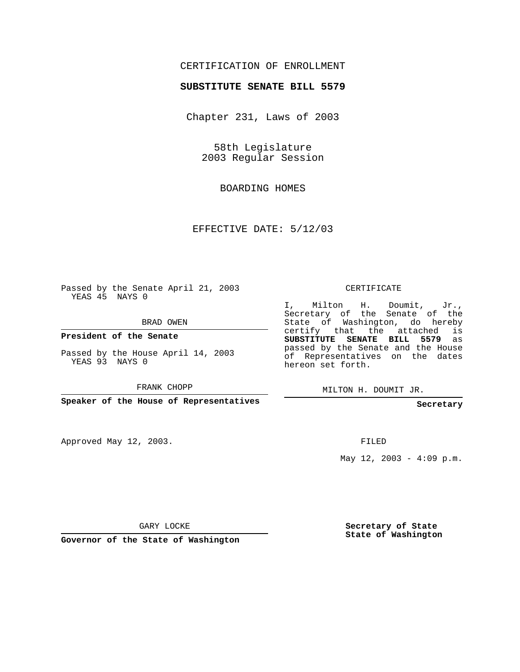## CERTIFICATION OF ENROLLMENT

#### **SUBSTITUTE SENATE BILL 5579**

Chapter 231, Laws of 2003

58th Legislature 2003 Regular Session

BOARDING HOMES

EFFECTIVE DATE: 5/12/03

Passed by the Senate April 21, 2003 YEAS 45 NAYS 0

BRAD OWEN

**President of the Senate**

Passed by the House April 14, 2003 YEAS 93 NAYS 0

FRANK CHOPP

**Speaker of the House of Representatives**

Approved May 12, 2003.

CERTIFICATE

I, Milton H. Doumit, Jr., Secretary of the Senate of the State of Washington, do hereby certify that the attached is **SUBSTITUTE SENATE BILL 5579** as passed by the Senate and the House of Representatives on the dates hereon set forth.

MILTON H. DOUMIT JR.

**Secretary**

FILED

May  $12$ ,  $2003 - 4:09$  p.m.

GARY LOCKE

**Governor of the State of Washington**

**Secretary of State State of Washington**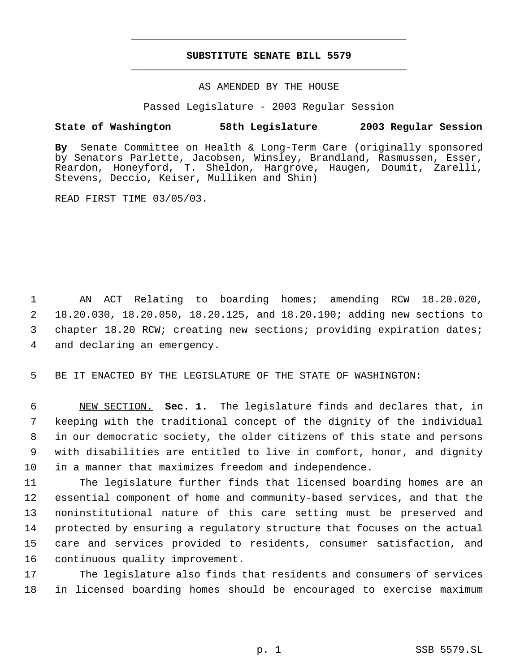# **SUBSTITUTE SENATE BILL 5579** \_\_\_\_\_\_\_\_\_\_\_\_\_\_\_\_\_\_\_\_\_\_\_\_\_\_\_\_\_\_\_\_\_\_\_\_\_\_\_\_\_\_\_\_\_

\_\_\_\_\_\_\_\_\_\_\_\_\_\_\_\_\_\_\_\_\_\_\_\_\_\_\_\_\_\_\_\_\_\_\_\_\_\_\_\_\_\_\_\_\_

#### AS AMENDED BY THE HOUSE

Passed Legislature - 2003 Regular Session

### **State of Washington 58th Legislature 2003 Regular Session**

**By** Senate Committee on Health & Long-Term Care (originally sponsored by Senators Parlette, Jacobsen, Winsley, Brandland, Rasmussen, Esser, Reardon, Honeyford, T. Sheldon, Hargrove, Haugen, Doumit, Zarelli, Stevens, Deccio, Keiser, Mulliken and Shin)

READ FIRST TIME 03/05/03.

 AN ACT Relating to boarding homes; amending RCW 18.20.020, 18.20.030, 18.20.050, 18.20.125, and 18.20.190; adding new sections to chapter 18.20 RCW; creating new sections; providing expiration dates; and declaring an emergency.

5 BE IT ENACTED BY THE LEGISLATURE OF THE STATE OF WASHINGTON:

 NEW SECTION. **Sec. 1.** The legislature finds and declares that, in keeping with the traditional concept of the dignity of the individual in our democratic society, the older citizens of this state and persons with disabilities are entitled to live in comfort, honor, and dignity in a manner that maximizes freedom and independence.

 The legislature further finds that licensed boarding homes are an essential component of home and community-based services, and that the noninstitutional nature of this care setting must be preserved and protected by ensuring a regulatory structure that focuses on the actual care and services provided to residents, consumer satisfaction, and continuous quality improvement.

17 The legislature also finds that residents and consumers of services 18 in licensed boarding homes should be encouraged to exercise maximum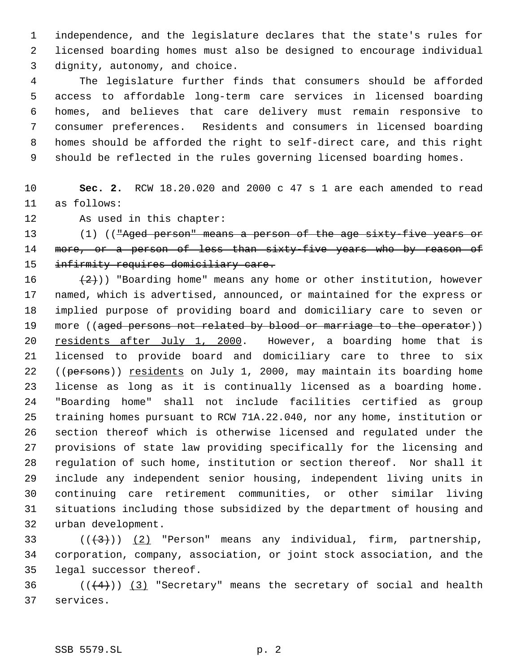independence, and the legislature declares that the state's rules for licensed boarding homes must also be designed to encourage individual dignity, autonomy, and choice.

 The legislature further finds that consumers should be afforded access to affordable long-term care services in licensed boarding homes, and believes that care delivery must remain responsive to consumer preferences. Residents and consumers in licensed boarding homes should be afforded the right to self-direct care, and this right should be reflected in the rules governing licensed boarding homes.

 **Sec. 2.** RCW 18.20.020 and 2000 c 47 s 1 are each amended to read as follows:

As used in this chapter:

13 (1) (("Aged person" means a person of the age sixty-five years or 14 more, or a person of less than sixty-five years who by reason of infirmity requires domiciliary care.

 $(2)$ )) "Boarding home" means any home or other institution, however named, which is advertised, announced, or maintained for the express or implied purpose of providing board and domiciliary care to seven or 19 more ((aged persons not related by blood or marriage to the operator)) residents after July 1, 2000. However, a boarding home that is licensed to provide board and domiciliary care to three to six 22 ((persons)) residents on July 1, 2000, may maintain its boarding home license as long as it is continually licensed as a boarding home. "Boarding home" shall not include facilities certified as group training homes pursuant to RCW 71A.22.040, nor any home, institution or section thereof which is otherwise licensed and regulated under the provisions of state law providing specifically for the licensing and regulation of such home, institution or section thereof. Nor shall it include any independent senior housing, independent living units in continuing care retirement communities, or other similar living situations including those subsidized by the department of housing and urban development.

33 ( $(\langle 3 \rangle)$ ) (2) "Person" means any individual, firm, partnership, corporation, company, association, or joint stock association, and the legal successor thereof.

36  $((+4))$   $(3)$  "Secretary" means the secretary of social and health services.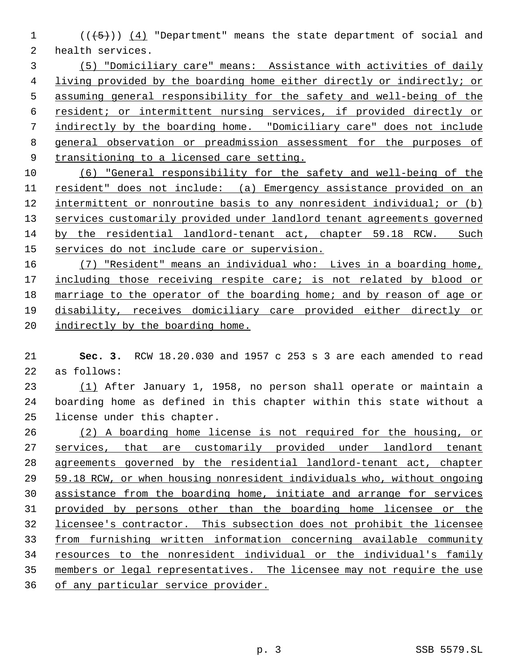$((+5+))$   $(4)$  "Department" means the state department of social and health services.

 (5) "Domiciliary care" means: Assistance with activities of daily living provided by the boarding home either directly or indirectly; or assuming general responsibility for the safety and well-being of the resident; or intermittent nursing services, if provided directly or indirectly by the boarding home. "Domiciliary care" does not include general observation or preadmission assessment for the purposes of transitioning to a licensed care setting.

 (6) "General responsibility for the safety and well-being of the resident" does not include: (a) Emergency assistance provided on an intermittent or nonroutine basis to any nonresident individual; or (b) 13 services customarily provided under landlord tenant agreements governed by the residential landlord-tenant act, chapter 59.18 RCW. Such services do not include care or supervision.

 (7) "Resident" means an individual who: Lives in a boarding home, 17 including those receiving respite care; is not related by blood or marriage to the operator of the boarding home; and by reason of age or disability, receives domiciliary care provided either directly or 20 indirectly by the boarding home.

 **Sec. 3.** RCW 18.20.030 and 1957 c 253 s 3 are each amended to read as follows:

 (1) After January 1, 1958, no person shall operate or maintain a boarding home as defined in this chapter within this state without a license under this chapter.

 (2) A boarding home license is not required for the housing, or services, that are customarily provided under landlord tenant agreements governed by the residential landlord-tenant act, chapter 59.18 RCW, or when housing nonresident individuals who, without ongoing assistance from the boarding home, initiate and arrange for services provided by persons other than the boarding home licensee or the licensee's contractor. This subsection does not prohibit the licensee from furnishing written information concerning available community 34 resources to the nonresident individual or the individual's family members or legal representatives. The licensee may not require the use of any particular service provider.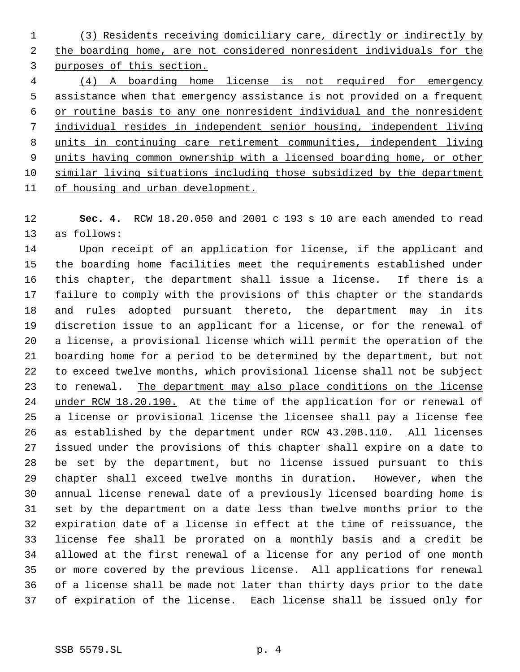(3) Residents receiving domiciliary care, directly or indirectly by the boarding home, are not considered nonresident individuals for the purposes of this section.

 (4) A boarding home license is not required for emergency assistance when that emergency assistance is not provided on a frequent or routine basis to any one nonresident individual and the nonresident individual resides in independent senior housing, independent living units in continuing care retirement communities, independent living units having common ownership with a licensed boarding home, or other similar living situations including those subsidized by the department of housing and urban development.

 **Sec. 4.** RCW 18.20.050 and 2001 c 193 s 10 are each amended to read as follows:

 Upon receipt of an application for license, if the applicant and the boarding home facilities meet the requirements established under this chapter, the department shall issue a license. If there is a failure to comply with the provisions of this chapter or the standards and rules adopted pursuant thereto, the department may in its discretion issue to an applicant for a license, or for the renewal of a license, a provisional license which will permit the operation of the boarding home for a period to be determined by the department, but not to exceed twelve months, which provisional license shall not be subject 23 to renewal. The department may also place conditions on the license 24 under RCW 18.20.190. At the time of the application for or renewal of a license or provisional license the licensee shall pay a license fee as established by the department under RCW 43.20B.110. All licenses issued under the provisions of this chapter shall expire on a date to be set by the department, but no license issued pursuant to this chapter shall exceed twelve months in duration. However, when the annual license renewal date of a previously licensed boarding home is set by the department on a date less than twelve months prior to the expiration date of a license in effect at the time of reissuance, the license fee shall be prorated on a monthly basis and a credit be allowed at the first renewal of a license for any period of one month or more covered by the previous license. All applications for renewal of a license shall be made not later than thirty days prior to the date of expiration of the license. Each license shall be issued only for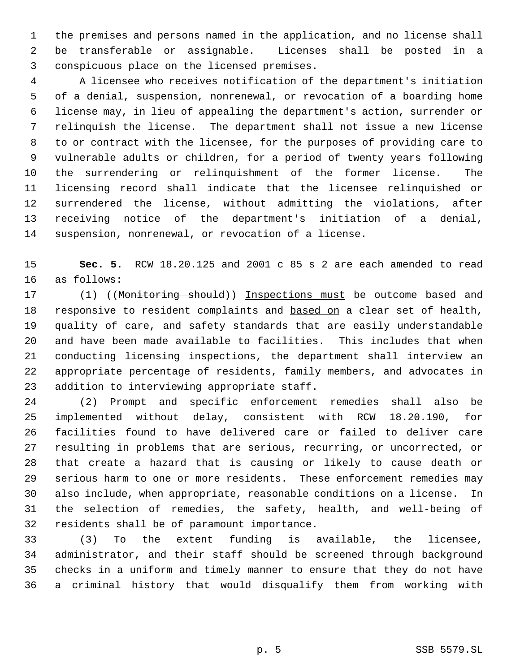the premises and persons named in the application, and no license shall be transferable or assignable. Licenses shall be posted in a conspicuous place on the licensed premises.

 A licensee who receives notification of the department's initiation of a denial, suspension, nonrenewal, or revocation of a boarding home license may, in lieu of appealing the department's action, surrender or relinquish the license. The department shall not issue a new license to or contract with the licensee, for the purposes of providing care to vulnerable adults or children, for a period of twenty years following the surrendering or relinquishment of the former license. The licensing record shall indicate that the licensee relinquished or surrendered the license, without admitting the violations, after receiving notice of the department's initiation of a denial, suspension, nonrenewal, or revocation of a license.

 **Sec. 5.** RCW 18.20.125 and 2001 c 85 s 2 are each amended to read as follows:

17 (1) ((Monitoring should)) Inspections must be outcome based and 18 responsive to resident complaints and based on a clear set of health, quality of care, and safety standards that are easily understandable and have been made available to facilities. This includes that when conducting licensing inspections, the department shall interview an appropriate percentage of residents, family members, and advocates in addition to interviewing appropriate staff.

 (2) Prompt and specific enforcement remedies shall also be implemented without delay, consistent with RCW 18.20.190, for facilities found to have delivered care or failed to deliver care resulting in problems that are serious, recurring, or uncorrected, or that create a hazard that is causing or likely to cause death or serious harm to one or more residents. These enforcement remedies may also include, when appropriate, reasonable conditions on a license. In the selection of remedies, the safety, health, and well-being of residents shall be of paramount importance.

 (3) To the extent funding is available, the licensee, administrator, and their staff should be screened through background checks in a uniform and timely manner to ensure that they do not have a criminal history that would disqualify them from working with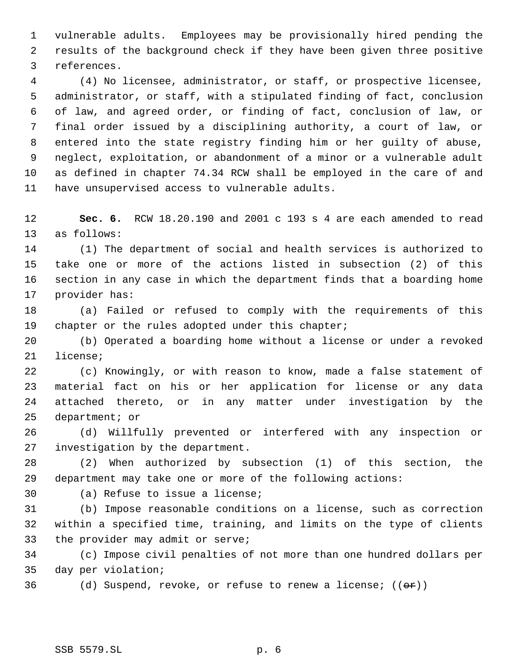vulnerable adults. Employees may be provisionally hired pending the results of the background check if they have been given three positive references.

 (4) No licensee, administrator, or staff, or prospective licensee, administrator, or staff, with a stipulated finding of fact, conclusion of law, and agreed order, or finding of fact, conclusion of law, or final order issued by a disciplining authority, a court of law, or entered into the state registry finding him or her guilty of abuse, neglect, exploitation, or abandonment of a minor or a vulnerable adult as defined in chapter 74.34 RCW shall be employed in the care of and have unsupervised access to vulnerable adults.

 **Sec. 6.** RCW 18.20.190 and 2001 c 193 s 4 are each amended to read as follows:

 (1) The department of social and health services is authorized to take one or more of the actions listed in subsection (2) of this section in any case in which the department finds that a boarding home provider has:

 (a) Failed or refused to comply with the requirements of this chapter or the rules adopted under this chapter;

 (b) Operated a boarding home without a license or under a revoked license;

 (c) Knowingly, or with reason to know, made a false statement of material fact on his or her application for license or any data attached thereto, or in any matter under investigation by the department; or

 (d) Willfully prevented or interfered with any inspection or investigation by the department.

 (2) When authorized by subsection (1) of this section, the department may take one or more of the following actions:

(a) Refuse to issue a license;

 (b) Impose reasonable conditions on a license, such as correction within a specified time, training, and limits on the type of clients the provider may admit or serve;

 (c) Impose civil penalties of not more than one hundred dollars per day per violation;

36 (d) Suspend, revoke, or refuse to renew a license;  $((\theta \cdot \mathbf{r}))$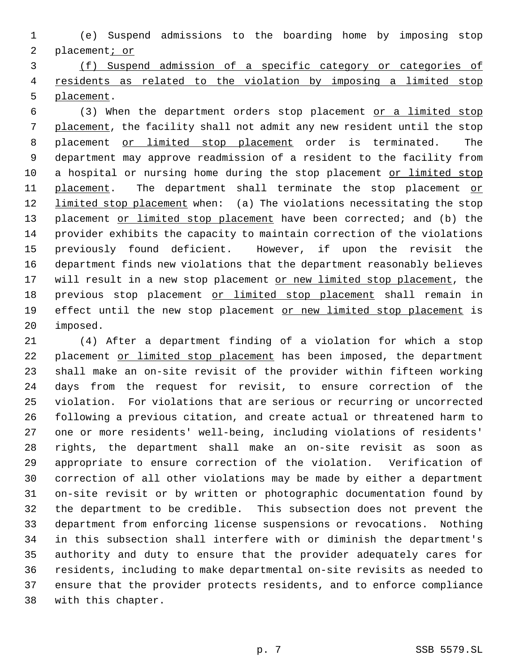(e) Suspend admissions to the boarding home by imposing stop placement; or

 (f) Suspend admission of a specific category or categories of residents as related to the violation by imposing a limited stop placement.

 (3) When the department orders stop placement or a limited stop placement, the facility shall not admit any new resident until the stop 8 placement or limited stop placement order is terminated. The department may approve readmission of a resident to the facility from 10 a hospital or nursing home during the stop placement or limited stop 11 placement. The department shall terminate the stop placement or 12 limited stop placement when: (a) The violations necessitating the stop 13 placement or limited stop placement have been corrected; and (b) the provider exhibits the capacity to maintain correction of the violations previously found deficient. However, if upon the revisit the department finds new violations that the department reasonably believes 17 will result in a new stop placement or new limited stop placement, the 18 previous stop placement or limited stop placement shall remain in 19 effect until the new stop placement or new limited stop placement is imposed.

 (4) After a department finding of a violation for which a stop 22 placement or limited stop placement has been imposed, the department shall make an on-site revisit of the provider within fifteen working days from the request for revisit, to ensure correction of the violation. For violations that are serious or recurring or uncorrected following a previous citation, and create actual or threatened harm to one or more residents' well-being, including violations of residents' rights, the department shall make an on-site revisit as soon as appropriate to ensure correction of the violation. Verification of correction of all other violations may be made by either a department on-site revisit or by written or photographic documentation found by the department to be credible. This subsection does not prevent the department from enforcing license suspensions or revocations. Nothing in this subsection shall interfere with or diminish the department's authority and duty to ensure that the provider adequately cares for residents, including to make departmental on-site revisits as needed to ensure that the provider protects residents, and to enforce compliance with this chapter.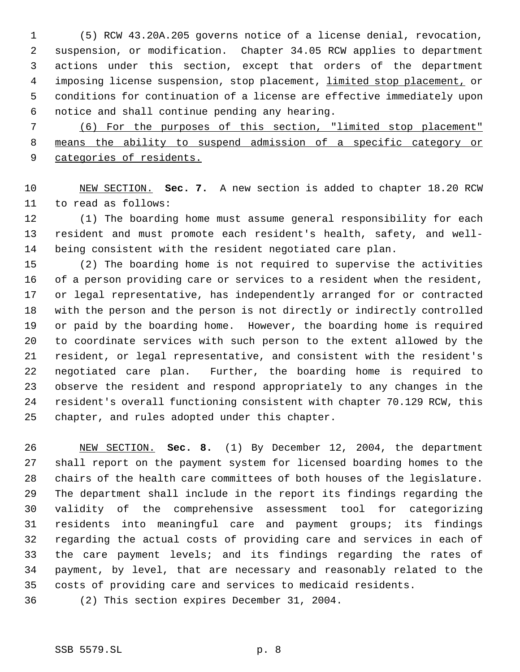(5) RCW 43.20A.205 governs notice of a license denial, revocation, suspension, or modification. Chapter 34.05 RCW applies to department actions under this section, except that orders of the department 4 imposing license suspension, stop placement, limited stop placement, or conditions for continuation of a license are effective immediately upon notice and shall continue pending any hearing.

 (6) For the purposes of this section, "limited stop placement" means the ability to suspend admission of a specific category or 9 categories of residents.

 NEW SECTION. **Sec. 7.** A new section is added to chapter 18.20 RCW to read as follows:

 (1) The boarding home must assume general responsibility for each resident and must promote each resident's health, safety, and well-being consistent with the resident negotiated care plan.

 (2) The boarding home is not required to supervise the activities of a person providing care or services to a resident when the resident, or legal representative, has independently arranged for or contracted with the person and the person is not directly or indirectly controlled or paid by the boarding home. However, the boarding home is required to coordinate services with such person to the extent allowed by the resident, or legal representative, and consistent with the resident's negotiated care plan. Further, the boarding home is required to observe the resident and respond appropriately to any changes in the resident's overall functioning consistent with chapter 70.129 RCW, this chapter, and rules adopted under this chapter.

 NEW SECTION. **Sec. 8.** (1) By December 12, 2004, the department shall report on the payment system for licensed boarding homes to the chairs of the health care committees of both houses of the legislature. The department shall include in the report its findings regarding the validity of the comprehensive assessment tool for categorizing residents into meaningful care and payment groups; its findings regarding the actual costs of providing care and services in each of the care payment levels; and its findings regarding the rates of payment, by level, that are necessary and reasonably related to the costs of providing care and services to medicaid residents.

(2) This section expires December 31, 2004.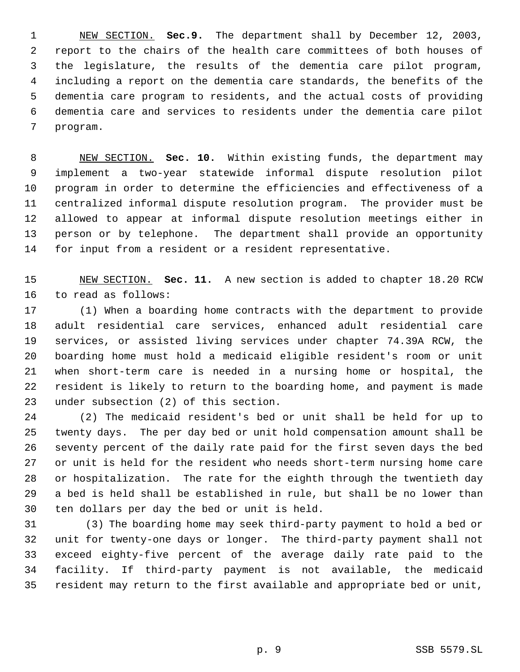NEW SECTION. **Sec.9.** The department shall by December 12, 2003, report to the chairs of the health care committees of both houses of the legislature, the results of the dementia care pilot program, including a report on the dementia care standards, the benefits of the dementia care program to residents, and the actual costs of providing dementia care and services to residents under the dementia care pilot program.

 NEW SECTION. **Sec. 10.** Within existing funds, the department may implement a two-year statewide informal dispute resolution pilot program in order to determine the efficiencies and effectiveness of a centralized informal dispute resolution program. The provider must be allowed to appear at informal dispute resolution meetings either in person or by telephone. The department shall provide an opportunity for input from a resident or a resident representative.

 NEW SECTION. **Sec. 11.** A new section is added to chapter 18.20 RCW to read as follows:

 (1) When a boarding home contracts with the department to provide adult residential care services, enhanced adult residential care services, or assisted living services under chapter 74.39A RCW, the boarding home must hold a medicaid eligible resident's room or unit when short-term care is needed in a nursing home or hospital, the resident is likely to return to the boarding home, and payment is made under subsection (2) of this section.

 (2) The medicaid resident's bed or unit shall be held for up to twenty days. The per day bed or unit hold compensation amount shall be seventy percent of the daily rate paid for the first seven days the bed or unit is held for the resident who needs short-term nursing home care or hospitalization. The rate for the eighth through the twentieth day a bed is held shall be established in rule, but shall be no lower than ten dollars per day the bed or unit is held.

31 (3) The boarding home may seek third-party payment to hold a bed or unit for twenty-one days or longer. The third-party payment shall not exceed eighty-five percent of the average daily rate paid to the facility. If third-party payment is not available, the medicaid resident may return to the first available and appropriate bed or unit,